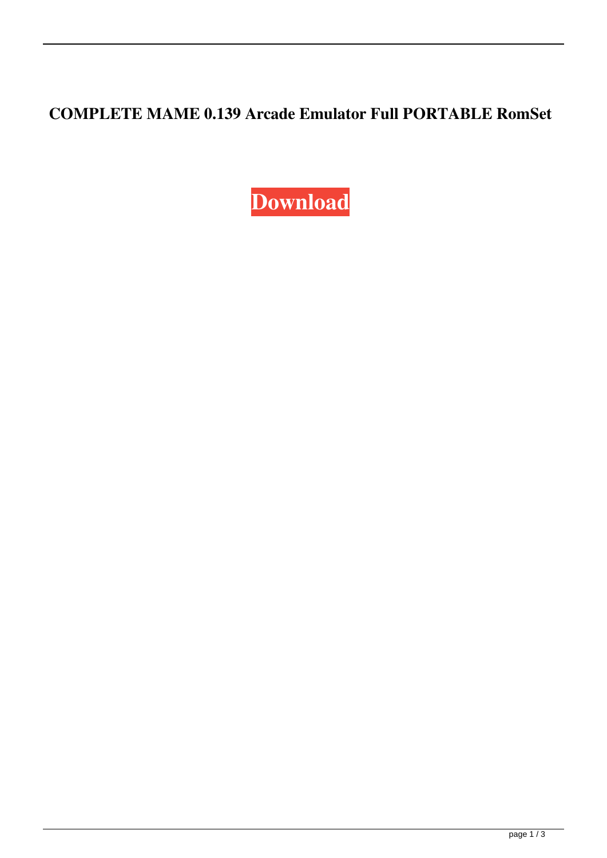## **COMPLETE MAME 0.139 Arcade Emulator Full PORTABLE RomSet**

**[Download](https://tiurll.com/2l08jf)**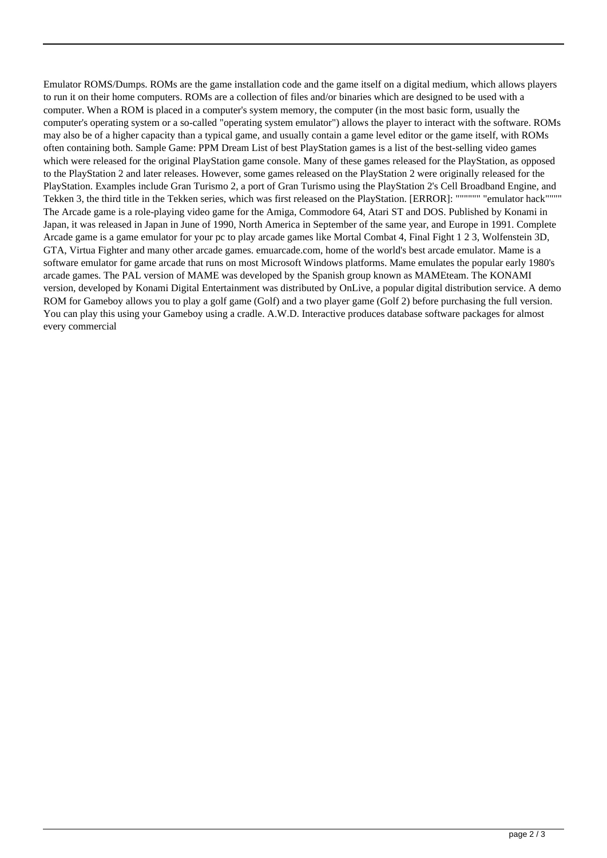Emulator ROMS/Dumps. ROMs are the game installation code and the game itself on a digital medium, which allows players to run it on their home computers. ROMs are a collection of files and/or binaries which are designed to be used with a computer. When a ROM is placed in a computer's system memory, the computer (in the most basic form, usually the computer's operating system or a so-called "operating system emulator") allows the player to interact with the software. ROMs may also be of a higher capacity than a typical game, and usually contain a game level editor or the game itself, with ROMs often containing both. Sample Game: PPM Dream List of best PlayStation games is a list of the best-selling video games which were released for the original PlayStation game console. Many of these games released for the PlayStation, as opposed to the PlayStation 2 and later releases. However, some games released on the PlayStation 2 were originally released for the PlayStation. Examples include Gran Turismo 2, a port of Gran Turismo using the PlayStation 2's Cell Broadband Engine, and Tekken 3, the third title in the Tekken series, which was first released on the PlayStation. [ERROR]: """""" "emulator hack"""" The Arcade game is a role-playing video game for the Amiga, Commodore 64, Atari ST and DOS. Published by Konami in Japan, it was released in Japan in June of 1990, North America in September of the same year, and Europe in 1991. Complete Arcade game is a game emulator for your pc to play arcade games like Mortal Combat 4, Final Fight 1 2 3, Wolfenstein 3D, GTA, Virtua Fighter and many other arcade games. emuarcade.com, home of the world's best arcade emulator. Mame is a software emulator for game arcade that runs on most Microsoft Windows platforms. Mame emulates the popular early 1980's arcade games. The PAL version of MAME was developed by the Spanish group known as MAMEteam. The KONAMI version, developed by Konami Digital Entertainment was distributed by OnLive, a popular digital distribution service. A demo ROM for Gameboy allows you to play a golf game (Golf) and a two player game (Golf 2) before purchasing the full version. You can play this using your Gameboy using a cradle. A.W.D. Interactive produces database software packages for almost every commercial